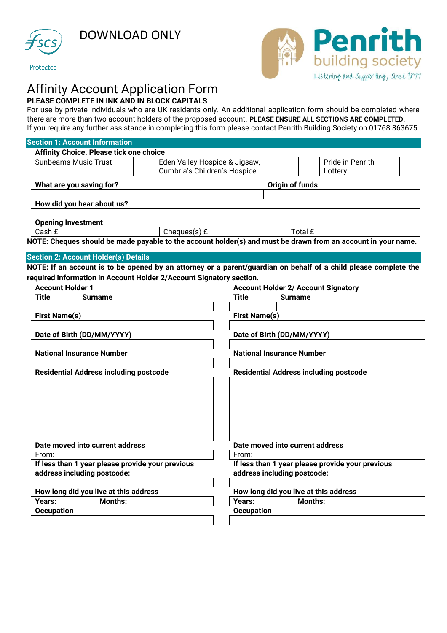

DOWNLOAD ONLY





# Affinity Account Application Form **PLEASE COMPLETE IN INK AND IN BLOCK CAPITALS**

For use by private individuals who are UK residents only. An additional application form should be completed where there are more than two account holders of the proposed account. **PLEASE ENSURE ALL SECTIONS ARE COMPLETED.** If you require any further assistance in completing this form please contact Penrith Building Society on 01768 863675.

| <b>Section 1: Account Information</b>                                                                              |                                                                                              |                                                                                                                  |  |  |
|--------------------------------------------------------------------------------------------------------------------|----------------------------------------------------------------------------------------------|------------------------------------------------------------------------------------------------------------------|--|--|
| <b>Affinity Choice. Please tick one choice</b>                                                                     |                                                                                              |                                                                                                                  |  |  |
| <b>Sunbeams Music Trust</b>                                                                                        | Eden Valley Hospice & Jigsaw,<br>Pride in Penrith<br>Cumbria's Children's Hospice<br>Lottery |                                                                                                                  |  |  |
| What are you saving for?                                                                                           | Origin of funds                                                                              |                                                                                                                  |  |  |
| How did you hear about us?                                                                                         |                                                                                              |                                                                                                                  |  |  |
| <b>Opening Investment</b>                                                                                          |                                                                                              |                                                                                                                  |  |  |
| Cash £                                                                                                             | Cheques $(s)$ £                                                                              | Total £                                                                                                          |  |  |
|                                                                                                                    |                                                                                              | NOTE: Cheques should be made payable to the account holder(s) and must be drawn from an account in your name.    |  |  |
| <b>Section 2: Account Holder(s) Details</b><br>required information in Account Holder 2/Account Signatory section. |                                                                                              | NOTE: If an account is to be opened by an attorney or a parent/guardian on behalf of a child please complete the |  |  |
| <b>Account Holder 1</b>                                                                                            |                                                                                              | <b>Account Holder 2/ Account Signatory</b>                                                                       |  |  |
| <b>Title</b><br><b>Surname</b>                                                                                     |                                                                                              | Title<br><b>Surname</b>                                                                                          |  |  |
|                                                                                                                    |                                                                                              |                                                                                                                  |  |  |
| <b>First Name(s)</b>                                                                                               |                                                                                              | <b>First Name(s)</b>                                                                                             |  |  |
|                                                                                                                    |                                                                                              |                                                                                                                  |  |  |
| Date of Birth (DD/MM/YYYY)                                                                                         |                                                                                              | Date of Birth (DD/MM/YYYY)                                                                                       |  |  |
| <b>National Insurance Number</b>                                                                                   |                                                                                              | <b>National Insurance Number</b>                                                                                 |  |  |
|                                                                                                                    |                                                                                              |                                                                                                                  |  |  |
| <b>Residential Address including postcode</b>                                                                      |                                                                                              | <b>Residential Address including postcode</b>                                                                    |  |  |
|                                                                                                                    |                                                                                              |                                                                                                                  |  |  |
| Date moved into current address                                                                                    |                                                                                              | Date moved into current address                                                                                  |  |  |
| From:                                                                                                              |                                                                                              | From:                                                                                                            |  |  |
| If less than 1 year please provide your previous                                                                   |                                                                                              | If less than 1 year please provide your previous                                                                 |  |  |
| address including postcode:                                                                                        |                                                                                              | address including postcode:                                                                                      |  |  |
| How long did you live at this address                                                                              |                                                                                              | How long did you live at this address                                                                            |  |  |
| Years:<br><b>Months:</b>                                                                                           |                                                                                              | Years:<br><b>Months:</b>                                                                                         |  |  |
| <b>Occupation</b>                                                                                                  |                                                                                              | <b>Occupation</b>                                                                                                |  |  |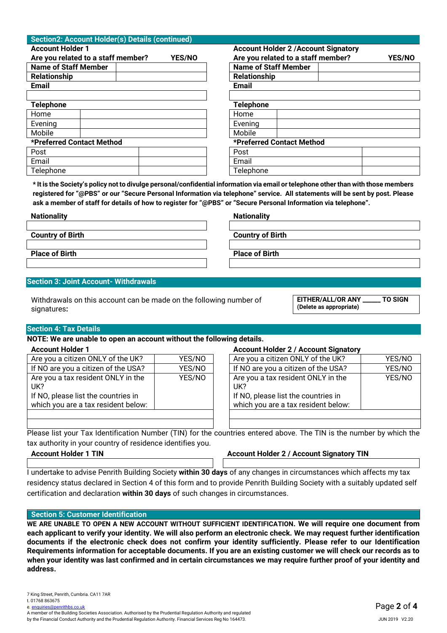| Section2: Account Holder(s) Details (continued)     |                                                     |  |  |
|-----------------------------------------------------|-----------------------------------------------------|--|--|
| <b>Account Holder 1</b>                             | <b>Account Holder 2 / Account Signatory</b>         |  |  |
| Are you related to a staff member?<br><b>YES/NO</b> | Are you related to a staff member?<br><b>YES/NO</b> |  |  |
| <b>Name of Staff Member</b>                         | <b>Name of Staff Member</b>                         |  |  |
| <b>Relationship</b>                                 | <b>Relationship</b>                                 |  |  |
| <b>Email</b>                                        | <b>Email</b>                                        |  |  |
|                                                     |                                                     |  |  |
| <b>Telephone</b>                                    | <b>Telephone</b>                                    |  |  |
| Home                                                | Home                                                |  |  |
| Evening                                             | Evening                                             |  |  |
| Mobile                                              | Mobile                                              |  |  |
| *Preferred Contact Method                           | *Preferred Contact Method                           |  |  |
| Post                                                | Post                                                |  |  |
| Email                                               | Email                                               |  |  |
| Telephone                                           | Telephone                                           |  |  |

**\* It is the Society's policy not to divulge personal/confidential information via email or telephone other than with those members registered for "@PBS" or our "Secure Personal Information via telephone" service. All statements will be sent by post. Please ask a member of staff for details of how to register for "@PBS" or "Secure Personal Information via telephone".**

| <b>Nationality</b>      | <b>Nationality</b>      |
|-------------------------|-------------------------|
|                         |                         |
| <b>Country of Birth</b> | <b>Country of Birth</b> |
|                         |                         |
| <b>Place of Birth</b>   | <b>Place of Birth</b>   |
|                         |                         |
|                         |                         |

# **Section 3: Joint Account- Withdrawals**

Withdrawals on this account can be made on the following number of signatures**:**

**EITHER/ALL/OR ANY \_\_\_\_\_\_ TO SIGN (Delete as appropriate)**

#### **Section 4: Tax Details**

**NOTE: We are unable to open an account without the following details.**

| Are you a citizen ONLY of the UK?                                                                                       | YES/NO | Are you a citizen ONLY of the UK?                                                                                       | YES/NO |
|-------------------------------------------------------------------------------------------------------------------------|--------|-------------------------------------------------------------------------------------------------------------------------|--------|
| If NO are you a citizen of the USA?                                                                                     | YES/NO | If NO are you a citizen of the USA?                                                                                     | YES/NO |
| Are you a tax resident ONLY in the<br>UK?<br>If NO, please list the countries in<br>which you are a tax resident below: | YES/NO | Are you a tax resident ONLY in the<br>UK?<br>If NO, please list the countries in<br>which you are a tax resident below: | YES/NO |
|                                                                                                                         |        |                                                                                                                         |        |

#### **Account Holder 1 Account Holder 2 / Account Signatory**

| Account Holder 27 Account Olymator |                                                                                                                         |        |  |  |  |
|------------------------------------|-------------------------------------------------------------------------------------------------------------------------|--------|--|--|--|
| YES/NO                             | Are you a citizen ONLY of the UK?                                                                                       | YES/NO |  |  |  |
| YES/NO                             | If NO are you a citizen of the USA?                                                                                     | YES/NO |  |  |  |
| YES/NO                             | Are you a tax resident ONLY in the<br>UK?<br>If NO, please list the countries in<br>which you are a tax resident below: | YES/NO |  |  |  |
|                                    |                                                                                                                         |        |  |  |  |

Please list your Tax Identification Number (TIN) for the countries entered above. The TIN is the number by which the tax authority in your country of residence identifies you.

**Account Holder 1 TIN Account Holder 2 / Account Signatory TIN**

I undertake to advise Penrith Building Society **within 30 days** of any changes in circumstances which affects my tax residency status declared in Section 4 of this form and to provide Penrith Building Society with a suitably updated self certification and declaration **within 30 days** of such changes in circumstances.

# **Section 5: Customer Identification**

**WE ARE UNABLE TO OPEN A NEW ACCOUNT WITHOUT SUFFICIENT IDENTIFICATION. We will require one document from each applicant to verify your identity. We will also perform an electronic check. We may request further identification documents if the electronic check does not confirm your identity sufficiently. Please refer to our Identification Requirements information for acceptable documents. If you are an existing customer we will check our records as to when your identity was last confirmed and in certain circumstances we may require further proof of your identity and address.**

A member of the Building Societies Association. Authorised by the Prudential Regulation Authority and regulated by the Financial Conduct Authority and the Prudential Regulation Authority. Financial Services Reg No 164473.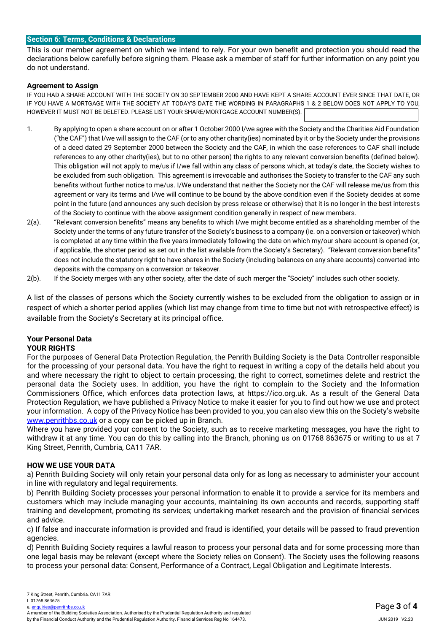#### l, **Section 6: Terms, Conditions & Declarations**

This is our member agreement on which we intend to rely. For your own benefit and protection you should read the declarations below carefully before signing them. Please ask a member of staff for further information on any point you do not understand.

# **Agreement to Assign**

IF YOU HAD A SHARE ACCOUNT WITH THE SOCIETY ON 30 SEPTEMBER 2000 AND HAVE KEPT A SHARE ACCOUNT EVER SINCE THAT DATE, OR IF YOU HAVE A MORTGAGE WITH THE SOCIETY AT TODAY'S DATE THE WORDING IN PARAGRAPHS 1 & 2 BELOW DOES NOT APPLY TO YOU, HOWEVER IT MUST NOT BE DELETED. PLEASE LIST YOUR SHARE/MORTGAGE ACCOUNT NUMBER(S).

- 1. By applying to open a share account on or after 1 October 2000 I/we agree with the Society and the Charities Aid Foundation ("the CAF") that I/we will assign to the CAF (or to any other charity(ies) nominated by it or by the Society under the provisions of a deed dated 29 September 2000 between the Society and the CAF, in which the case references to CAF shall include references to any other charity(ies), but to no other person) the rights to any relevant conversion benefits (defined below). This obligation will not apply to me/us if I/we fall within any class of persons which, at today's date, the Society wishes to be excluded from such obligation. This agreement is irrevocable and authorises the Society to transfer to the CAF any such benefits without further notice to me/us. I/We understand that neither the Society nor the CAF will release me/us from this agreement or vary its terms and I/we will continue to be bound by the above condition even if the Society decides at some point in the future (and announces any such decision by press release or otherwise) that it is no longer in the best interests of the Society to continue with the above assignment condition generally in respect of new members.
- 2(a). "Relevant conversion benefits" means any benefits to which I/we might become entitled as a shareholding member of the Society under the terms of any future transfer of the Society's business to a company (ie. on a conversion or takeover) which is completed at any time within the five years immediately following the date on which my/our share account is opened (or, if applicable, the shorter period as set out in the list available from the Society's Secretary). "Relevant conversion benefits" does not include the statutory right to have shares in the Society (including balances on any share accounts) converted into deposits with the company on a conversion or takeover.
- 2(b). If the Society merges with any other society, after the date of such merger the "Society" includes such other society.

A list of the classes of persons which the Society currently wishes to be excluded from the obligation to assign or in respect of which a shorter period applies (which list may change from time to time but not with retrospective effect) is available from the Society's Secretary at its principal office.

#### **Your Personal Data YOUR RIGHTS**

For the purposes of General Data Protection Regulation, the Penrith Building Society is the Data Controller responsible for the processing of your personal data. You have the right to request in writing a copy of the details held about you and where necessary the right to object to certain processing, the right to correct, sometimes delete and restrict the personal data the Society uses. In addition, you have the right to complain to the Society and the Information Commissioners Office, which enforces data protection laws, at https://ico.org.uk. As a result of the General Data Protection Regulation, we have published a Privacy Notice to make it easier for you to find out how we use and protect your information. A copy of the Privacy Notice has been provided to you, you can also view this on the Society's website [www.penrithbs.co.uk](http://www.penrithbs.co.uk/) or a copy can be picked up in Branch.

Where you have provided your consent to the Society, such as to receive marketing messages, you have the right to withdraw it at any time. You can do this by calling into the Branch, phoning us on 01768 863675 or writing to us at 7 King Street, Penrith, Cumbria, CA11 7AR.

# **HOW WE USE YOUR DATA**

a) Penrith Building Society will only retain your personal data only for as long as necessary to administer your account in line with regulatory and legal requirements.

b) Penrith Building Society processes your personal information to enable it to provide a service for its members and customers which may include managing your accounts, maintaining its own accounts and records, supporting staff training and development, promoting its services; undertaking market research and the provision of financial services and advice.

c) If false and inaccurate information is provided and fraud is identified, your details will be passed to fraud prevention agencies.

d) Penrith Building Society requires a lawful reason to process your personal data and for some processing more than one legal basis may be relevant (except where the Society relies on Consent). The Society uses the following reasons to process your personal data: Consent, Performance of a Contract, Legal Obligation and Legitimate Interests.

e. enquiries@penrithhs.co.uk

A member of the Building Societies Association. Authorised by the Prudential Regulation Authority and regulated by the Financial Conduct Authority and the Prudential Regulation Authority. Financial Services Reg No 164473.